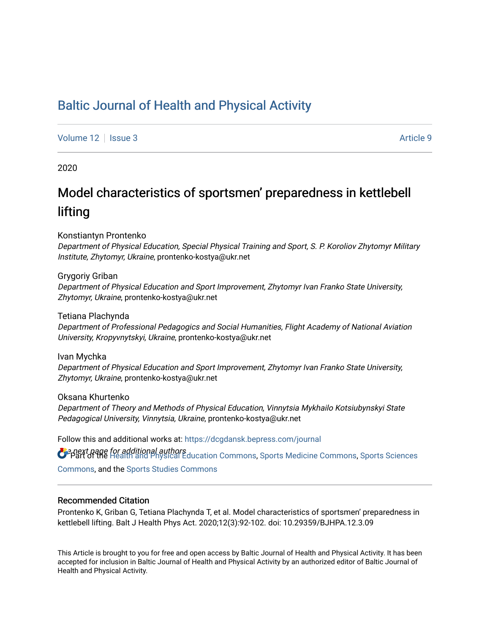## [Baltic Journal of Health and Physical Activity](https://dcgdansk.bepress.com/journal)

[Volume 12](https://dcgdansk.bepress.com/journal/vol12) | [Issue 3](https://dcgdansk.bepress.com/journal/vol12/iss3) Article 9

2020

# Model characteristics of sportsmen' preparedness in kettlebell lifting

Konstiantyn Prontenko

Department of Physical Education, Special Physical Training and Sport, S. P. Koroliov Zhytomyr Military Institute, Zhytomyr, Ukraine, prontenko-kostya@ukr.net

Grygoriy Griban Department of Physical Education and Sport Improvement, Zhytomyr Ivan Franko State University, Zhytomyr, Ukraine, prontenko-kostya@ukr.net

Tetiana Plachynda Department of Professional Pedagogics and Social Humanities, Flight Academy of National Aviation University, Kropyvnytskyi, Ukraine, prontenko-kostya@ukr.net

Ivan Mychka Department of Physical Education and Sport Improvement, Zhytomyr Ivan Franko State University, Zhytomyr, Ukraine, prontenko-kostya@ukr.net

Oksana Khurtenko Department of Theory and Methods of Physical Education, Vinnytsia Mykhailo Kotsiubynskyi State Pedagogical University, Vinnytsia, Ukraine, prontenko-kostya@ukr.net

Follow this and additional works at: [https://dcgdansk.bepress.com/journal](https://dcgdansk.bepress.com/journal?utm_source=dcgdansk.bepress.com%2Fjournal%2Fvol12%2Fiss3%2F9&utm_medium=PDF&utm_campaign=PDFCoverPages)

**O** enext page for additional authors<br>O Part of the [Health and Physical Education Commons](http://network.bepress.com/hgg/discipline/1327?utm_source=dcgdansk.bepress.com%2Fjournal%2Fvol12%2Fiss3%2F9&utm_medium=PDF&utm_campaign=PDFCoverPages), [Sports Medicine Commons,](http://network.bepress.com/hgg/discipline/1331?utm_source=dcgdansk.bepress.com%2Fjournal%2Fvol12%2Fiss3%2F9&utm_medium=PDF&utm_campaign=PDFCoverPages) [Sports Sciences](http://network.bepress.com/hgg/discipline/759?utm_source=dcgdansk.bepress.com%2Fjournal%2Fvol12%2Fiss3%2F9&utm_medium=PDF&utm_campaign=PDFCoverPages) [Commons](http://network.bepress.com/hgg/discipline/759?utm_source=dcgdansk.bepress.com%2Fjournal%2Fvol12%2Fiss3%2F9&utm_medium=PDF&utm_campaign=PDFCoverPages), and the [Sports Studies Commons](http://network.bepress.com/hgg/discipline/1198?utm_source=dcgdansk.bepress.com%2Fjournal%2Fvol12%2Fiss3%2F9&utm_medium=PDF&utm_campaign=PDFCoverPages) 

#### Recommended Citation

Prontenko K, Griban G, Tetiana Plachynda T, et al. Model characteristics of sportsmen' preparedness in kettlebell lifting. Balt J Health Phys Act. 2020;12(3):92-102. doi: 10.29359/BJHPA.12.3.09

This Article is brought to you for free and open access by Baltic Journal of Health and Physical Activity. It has been accepted for inclusion in Baltic Journal of Health and Physical Activity by an authorized editor of Baltic Journal of Health and Physical Activity.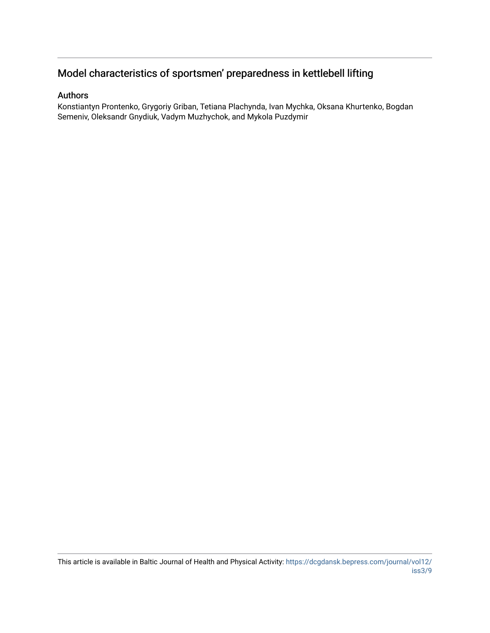## Model characteristics of sportsmen' preparedness in kettlebell lifting

#### Authors

Konstiantyn Prontenko, Grygoriy Griban, Tetiana Plachynda, Ivan Mychka, Oksana Khurtenko, Bogdan Semeniv, Oleksandr Gnydiuk, Vadym Muzhychok, and Mykola Puzdymir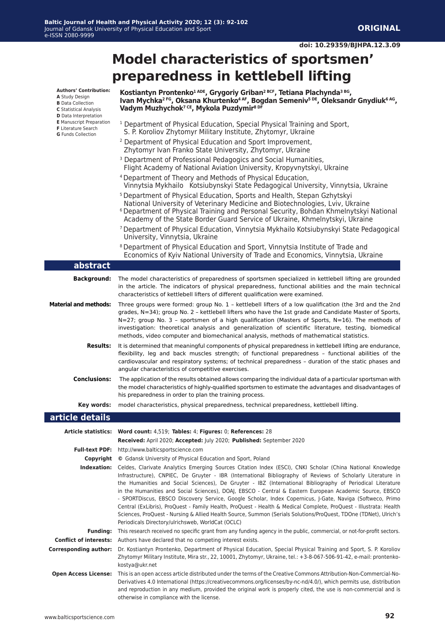#### **doi: 10.29359/BJHPA.12.3.09**

# **Model characteristics of sportsmen' preparedness in kettlebell lifting**

**Authors' Contribution: A** Study Design **B** Data Collection

- **D** Data Interpretation **E** Manuscript Preparation
- **F** Literature Search
- **G** Funds Collection

Г

#### **Kostiantyn Prontenko1 ADE, Grygoriy Griban2 BСF, Tetiana Plachynda3 BG, Ivan Mychka2 FG, Oksana Khurtenko4 AF, Bogdan Semeniv5 DE, Oleksandr Gnydiuk6 AG, Vadym Muzhychok7 CE, Mykola Puzdymir8 DF**

| <sup>1</sup> Department of Physical Education, Special Physical Training and Sport, |
|-------------------------------------------------------------------------------------|
| S. P. Koroliov Zhytomyr Military Institute, Zhytomyr, Ukraine                       |
| <sup>2</sup> Department of Physical Education and Sport Improvement,                |

- Zhytomyr Ivan Franko State University, Zhytomyr, Ukraine
- <sup>3</sup> Department of Professional Pedagogics and Social Humanities, Flight Academy of National Aviation University, Kropyvnytskyi, Ukraine
- 4 Department of Theory and Methods of Physical Education, Vinnytsia Mykhailo Kotsiubynskyi State Pedagogical University, Vinnytsia, Ukraine
- 5 Department of Physical Education, Sports and Health, Stepan Gzhytskyi National University of Veterinary Medicine and Biotechnologies, Lviv, Ukraine
- 6 Department of Physical Training and Personal Security, Bohdan Khmelnytskyi National Academy of the State Border Guard Service of Ukraine, Khmelnytskyi, Ukraine
- 7 Department of Physical Education, Vinnytsia Mykhailo Kotsiubynskyi State Pedagogical University, Vinnytsia, Ukraine
- 8 Department of Physical Education and Sport, Vinnytsia Institute of Trade and Economics of Kyiv National University of Trade and Economics, Vinnytsia, Ukraine

| abstract                      |                                                                                                                                                                                                                                                                                                                                                                                                                                                                                                                                                                                                                                                                                                                                                                                                                                                               |
|-------------------------------|---------------------------------------------------------------------------------------------------------------------------------------------------------------------------------------------------------------------------------------------------------------------------------------------------------------------------------------------------------------------------------------------------------------------------------------------------------------------------------------------------------------------------------------------------------------------------------------------------------------------------------------------------------------------------------------------------------------------------------------------------------------------------------------------------------------------------------------------------------------|
| <b>Background:</b>            | The model characteristics of preparedness of sportsmen specialized in kettlebell lifting are grounded<br>in the article. The indicators of physical preparedness, functional abilities and the main technical<br>characteristics of kettlebell lifters of different qualification were examined.                                                                                                                                                                                                                                                                                                                                                                                                                                                                                                                                                              |
| <b>Material and methods:</b>  | Three groups were formed: group No. 1 - kettlebell lifters of a low qualification (the 3rd and the 2nd<br>grades, N=34); group No. 2 - kettlebell lifters who have the 1st grade and Candidate Master of Sports,<br>$N=27$ ; group No. 3 - sportsmen of a high qualification (Masters of Sports, $N=16$ ). The methods of<br>investigation: theoretical analysis and generalization of scientific literature, testing, biomedical<br>methods, video computer and biomechanical analysis, methods of mathematical statistics.                                                                                                                                                                                                                                                                                                                                  |
| <b>Results:</b>               | It is determined that meaningful components of physical preparedness in kettlebell lifting are endurance,<br>flexibility, leg and back muscles strength; of functional preparedness - functional abilities of the<br>cardiovascular and respiratory systems; of technical preparedness - duration of the static phases and<br>angular characteristics of competitive exercises.                                                                                                                                                                                                                                                                                                                                                                                                                                                                               |
| <b>Conclusions:</b>           | The application of the results obtained allows comparing the individual data of a particular sportsman with<br>the model characteristics of highly-qualified sportsmen to estimate the advantages and disadvantages of<br>his preparedness in order to plan the training process.                                                                                                                                                                                                                                                                                                                                                                                                                                                                                                                                                                             |
| Key words:                    | model characteristics, physical preparedness, technical preparedness, kettlebell lifting.                                                                                                                                                                                                                                                                                                                                                                                                                                                                                                                                                                                                                                                                                                                                                                     |
| article details               |                                                                                                                                                                                                                                                                                                                                                                                                                                                                                                                                                                                                                                                                                                                                                                                                                                                               |
|                               | Article statistics: Word count: 4,519; Tables: 4; Figures: 0; References: 28                                                                                                                                                                                                                                                                                                                                                                                                                                                                                                                                                                                                                                                                                                                                                                                  |
|                               | Received: April 2020; Accepted: July 2020; Published: September 2020                                                                                                                                                                                                                                                                                                                                                                                                                                                                                                                                                                                                                                                                                                                                                                                          |
| <b>Full-text PDF:</b>         | http://www.balticsportscience.com                                                                                                                                                                                                                                                                                                                                                                                                                                                                                                                                                                                                                                                                                                                                                                                                                             |
| Copyright                     | © Gdansk University of Physical Education and Sport, Poland                                                                                                                                                                                                                                                                                                                                                                                                                                                                                                                                                                                                                                                                                                                                                                                                   |
| Indexation:                   | Celdes, Clarivate Analytics Emerging Sources Citation Index (ESCI), CNKI Scholar (China National Knowledge<br>Infrastructure), CNPIEC, De Gruyter - IBR (International Bibliography of Reviews of Scholarly Literature in<br>the Humanities and Social Sciences), De Gruyter - IBZ (International Bibliography of Periodical Literature<br>in the Humanities and Social Sciences), DOAJ, EBSCO - Central & Eastern European Academic Source, EBSCO<br>- SPORTDiscus, EBSCO Discovery Service, Google Scholar, Index Copernicus, J-Gate, Naviga (Softweco, Primo<br>Central (ExLibris), ProQuest - Family Health, ProQuest - Health & Medical Complete, ProQuest - Illustrata: Health<br>Sciences, ProQuest - Nursing & Allied Health Source, Summon (Serials Solutions/ProQuest, TDOne (TDNet), Ulrich's<br>Periodicals Directory/ulrichsweb, WorldCat (OCLC) |
| <b>Funding:</b>               | This research received no specific grant from any funding agency in the public, commercial, or not-for-profit sectors.                                                                                                                                                                                                                                                                                                                                                                                                                                                                                                                                                                                                                                                                                                                                        |
| <b>Conflict of interests:</b> | Authors have declared that no competing interest exists.                                                                                                                                                                                                                                                                                                                                                                                                                                                                                                                                                                                                                                                                                                                                                                                                      |
| <b>Corresponding author:</b>  | Dr. Kostiantyn Prontenko, Department of Physical Education, Special Physical Training and Sport, S. P. Koroliov<br>Zhytomyr Military Institute, Mira str., 22, 10001, Zhytomyr, Ukraine, tel.: +3-8-067-506-91-42, e-mail: prontenko-<br>kostya@ukr.net                                                                                                                                                                                                                                                                                                                                                                                                                                                                                                                                                                                                       |
| <b>Open Access License:</b>   | This is an open access article distributed under the terms of the Creative Commons Attribution-Non-Commercial-No-<br>Derivatives 4.0 International (https://creativecommons.org/licenses/by-nc-nd/4.0/), which permits use, distribution<br>and reproduction in any medium, provided the original work is properly cited, the use is non-commercial and is<br>otherwise in compliance with the license.                                                                                                                                                                                                                                                                                                                                                                                                                                                       |

**C** Statistical Analysis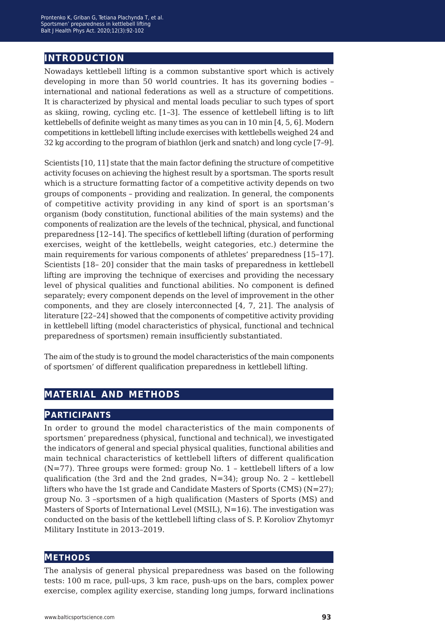## **introduction**

Nowadays kettlebell lifting is a common substantive sport which is actively developing in more than 50 world countries. It has its governing bodies – international and national federations as well as a structure of competitions. It is characterized by physical and mental loads peculiar to such types of sport as skiing, rowing, cycling etc. [1*−*3]. The essence of kettlebell lifting is to lift kettlebells of definite weight as many times as you can in 10 min [4, 5, 6]. Modern competitions in kettlebell lifting include exercises with kettlebells weighed 24 and 32 kg according to the program of biathlon (jerk and snatch) and long cycle [7*−*9].

Scientists [10, 11] state that the main factor defining the structure of competitive activity focuses on achieving the highest result by a sportsman. The sports result which is a structure formatting factor of a competitive activity depends on two groups of components – providing and realization. In general, the components of competitive activity providing in any kind of sport is an sportsman's organism (body constitution, functional abilities of the main systems) and the components of realization are the levels of the technical, physical, and functional preparedness [12*−*14]. The specifics of kettlebell lifting (duration of performing exercises, weight of the kettlebells, weight categories, etc.) determine the main requirements for various components of athletes' preparedness [15*−*17]. Scientists [18*−* 20] consider that the main tasks of preparedness in kettlebell lifting are improving the technique of exercises and providing the necessary level of physical qualities and functional abilities. No component is defined separately; every component depends on the level of improvement in the other components, and they are closely interconnected [4, 7, 21]. The analysis of literature [22*−*24] showed that the components of competitive activity providing in kettlebell lifting (model characteristics of physical, functional and technical preparedness of sportsmen) remain insufficiently substantiated.

The aim of the study is to ground the model characteristics of the main components of sportsmen' of different qualification preparedness in kettlebell lifting.

## **material and methods**

#### **participants**

In order to ground the model characteristics of the main components of sportsmen' preparedness (physical, functional and technical), we investigated the indicators of general and special physical qualities, functional abilities and main technical characteristics of kettlebell lifters of different qualification  $(N=77)$ . Three groups were formed: group No. 1 – kettlebell lifters of a low qualification (the 3rd and the 2nd grades,  $N=34$ ); group No. 2 – kettlebell lifters who have the 1st grade and Candidate Masters of Sports (CMS)  $(N=27)$ ; group No. 3 –sportsmen of a high qualification (Masters of Sports (MS) and Masters of Sports of International Level (MSIL), N=16). The investigation was conducted on the basis of the kettlebell lifting class of S. P. Koroliov Zhytomyr Military Institute in 2013–2019.

#### **methods**

The analysis of general physical preparedness was based on the following tests: 100 m race, pull-ups, 3 km race, push-ups on the bars, complex power exercise, complex agility exercise, standing long jumps, forward inclinations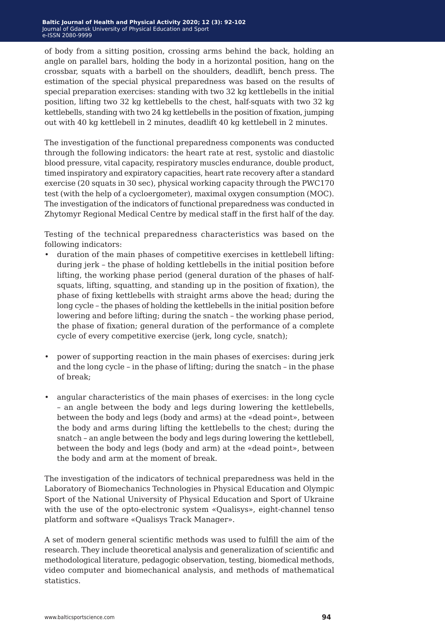of body from a sitting position, crossing arms behind the back, holding an angle on parallel bars, holding the body in a horizontal position, hang on the crossbar, squats with a barbell on the shoulders, deadlift, bench press. The estimation of the special physical preparedness was based on the results of special preparation exercises: standing with two 32 kg kettlebells in the initial position, lifting two 32 kg kettlebells to the chest, half-squats with two 32 kg kettlebells, standing with two 24 kg kettlebells in the position of fixation, jumping out with 40 kg kettlebell in 2 minutes, deadlift 40 kg kettlebell in 2 minutes.

The investigation of the functional preparedness components was conducted through the following indicators: the heart rate at rest, systolic and diastolic blood pressure, vital capacity, respiratory muscles endurance, double product, timed inspiratory and expiratory capacities, heart rate recovery after a standard exercise (20 squats in 30 sec), physical working capacity through the PWC170 test (with the help of a cycloergometer), maximal oxygen consumption (MOC). The investigation of the indicators of functional preparedness was conducted in Zhytomyr Regional Medical Centre by medical staff in the first half of the day.

Testing of the technical preparedness characteristics was based on the following indicators:

- duration of the main phases of competitive exercises in kettlebell lifting: during jerk – the phase of holding kettlebells in the initial position before lifting, the working phase period (general duration of the phases of halfsquats, lifting, squatting, and standing up in the position of fixation), the phase of fixing kettlebells with straight arms above the head; during the long cycle – the phases of holding the kettlebells in the initial position before lowering and before lifting; during the snatch – the working phase period, the phase of fixation; general duration of the performance of a complete cycle of every competitive exercise (jerk, long cycle, snatch);
- power of supporting reaction in the main phases of exercises: during jerk and the long cycle – in the phase of lifting; during the snatch – in the phase of break;
- angular characteristics of the main phases of exercises: in the long cycle – an angle between the body and legs during lowering the kettlebells, between the body and legs (body and arms) at the «dead point», between the body and arms during lifting the kettlebells to the chest; during the snatch – an angle between the body and legs during lowering the kettlebell, between the body and legs (body and arm) at the «dead point», between the body and arm at the moment of break.

The investigation of the indicators of technical preparedness was held in the Laboratory of Biomechanics Technologies in Physical Education and Olympic Sport of the National University of Physical Education and Sport of Ukraine with the use of the opto-electronic system «Qualisys», eight-channel tenso platform and software «Qualisys Track Manager».

A set of modern general scientific methods was used to fulfill the aim of the research. They include theoretical analysis and generalization of scientific and methodological literature, pedagogic observation, testing, biomedical methods, video computer and biomechanical analysis, and methods of mathematical statistics.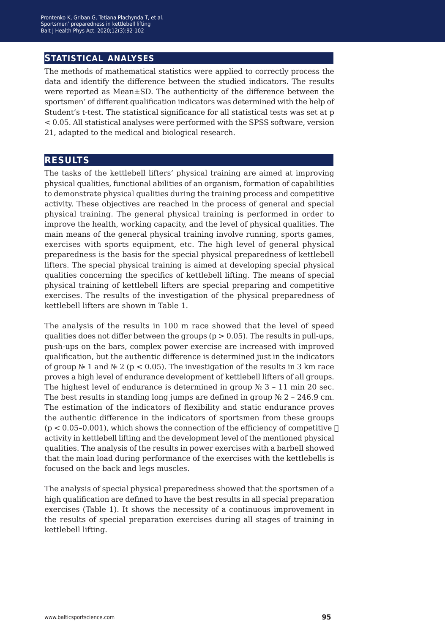#### **statistical analyses**

The methods of mathematical statistics were applied to correctly process the data and identify the difference between the studied indicators. The results were reported as Mean±SD. The authenticity of the difference between the sportsmen' of different qualification indicators was determined with the help of Student's t-test. The statistical significance for all statistical tests was set at p < 0.05. All statistical analyses were performed with the SPSS software, version 21, adapted to the medical and biological research.

#### **results**

The tasks of the kettlebell lifters' physical training are aimed at improving physical qualities, functional abilities of an organism, formation of capabilities to demonstrate physical qualities during the training process and competitive activity. These objectives are reached in the process of general and special physical training. The general physical training is performed in order to improve the health, working capacity, and the level of physical qualities. The main means of the general physical training involve running, sports games, exercises with sports equipment, etc. The high level of general physical preparedness is the basis for the special physical preparedness of kettlebell lifters. The special physical training is aimed at developing special physical qualities concerning the specifics of kettlebell lifting. The means of special physical training of kettlebell lifters are special preparing and competitive exercises. The results of the investigation of the physical preparedness of kettlebell lifters are shown in Table 1.

The analysis of the results in 100 m race showed that the level of speed qualities does not differ between the groups  $(p > 0.05)$ . The results in pull-ups, push-ups on the bars, complex power exercise are increased with improved qualification, but the authentic difference is determined just in the indicators of group  $\mathbb{N}$  1 and  $\mathbb{N}$  2 (p < 0.05). The investigation of the results in 3 km race proves a high level of endurance development of kettlebell lifters of all groups. The highest level of endurance is determined in group  $\mathbb{N}^2$  3 – 11 min 20 sec. The best results in standing long jumps are defined in group  $\mathcal{N}$  2 – 246.9 cm. The estimation of the indicators of flexibility and static endurance proves the authentic difference in the indicators of sportsmen from these groups  $(p < 0.05-0.001)$ , which shows the connection of the efficiency of competitive  $\Box$ activity in kettlebell lifting and the development level of the mentioned physical qualities. The analysis of the results in power exercises with a barbell showed that the main load during performance of the exercises with the kettlebells is focused on the back and legs muscles.

The analysis of special physical preparedness showed that the sportsmen of a high qualification are defined to have the best results in all special preparation exercises (Table 1). It shows the necessity of a continuous improvement in the results of special preparation exercises during all stages of training in kettlebell lifting.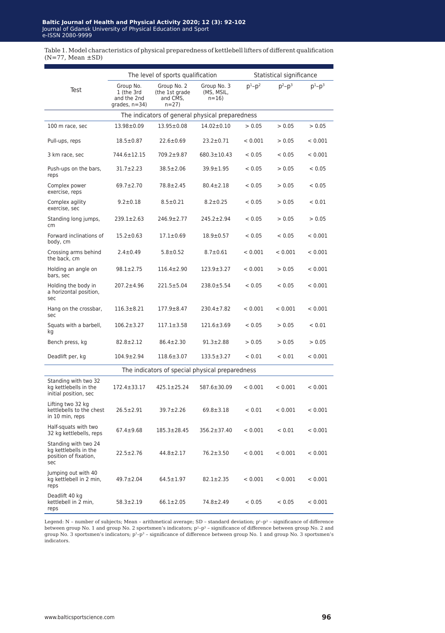Table 1. Model characteristics of physical preparedness of kettlebell lifters of different qualification (N=77, Mean ±SD)

|                                                                               |                                                            | The level of sports qualification                     |                                       |           | Statistical significance |           |
|-------------------------------------------------------------------------------|------------------------------------------------------------|-------------------------------------------------------|---------------------------------------|-----------|--------------------------|-----------|
| Test                                                                          | Group No.<br>1 (the 3rd<br>and the 2nd<br>grades, $n=34$ ) | Group No. 2<br>(the 1st grade<br>and CMS,<br>$n = 27$ | Group No. 3<br>(MS, MSIL,<br>$n = 16$ | $p^1-p^2$ | $D^2-D^3$                | $p^1-p^3$ |
|                                                                               |                                                            | The indicators of general physical preparedness       |                                       |           |                          |           |
| 100 m race, sec                                                               | 13.98±0.09                                                 | $13.95 \pm 0.08$                                      | $14.02 \pm 0.10$                      | > 0.05    | > 0.05                   | > 0.05    |
| Pull-ups, reps                                                                | $18.5 \pm 0.87$                                            | $22.6 \pm 0.69$                                       | $23.2 \pm 0.71$                       | < 0.001   | > 0.05                   | < 0.001   |
| 3 km race, sec                                                                | 744.6±12.15                                                | 709.2±9.87                                            | $680.3 \pm 10.43$                     | < 0.05    | < 0.05                   | < 0.001   |
| Push-ups on the bars,<br>reps                                                 | $31.7 \pm 2.23$                                            | $38.5 \pm 2.06$                                       | $39.9 + 1.95$                         | < 0.05    | > 0.05                   | < 0.05    |
| Complex power<br>exercise, reps                                               | $69.7 \pm 2.70$                                            | 78.8±2.45                                             | $80.4 \pm 2.18$                       | < 0.05    | > 0.05                   | < 0.05    |
| Complex agility<br>exercise, sec                                              | $9.2 \pm 0.18$                                             | $8.5 \pm 0.21$                                        | $8.2 \pm 0.25$                        | < 0.05    | > 0.05                   | < 0.01    |
| Standing long jumps,<br>cm                                                    | 239.1±2.63                                                 | 246.9±2.77                                            | 245.2±2.94                            | < 0.05    | > 0.05                   | > 0.05    |
| Forward inclinations of<br>body, cm                                           | $15.2 \pm 0.63$                                            | $17.1 \pm 0.69$                                       | $18.9 \pm 0.57$                       | < 0.05    | < 0.05                   | < 0.001   |
| Crossing arms behind<br>the back, cm                                          | $2.4 \pm 0.49$                                             | $5.8 \pm 0.52$                                        | $8.7 \pm 0.61$                        | < 0.001   | < 0.001                  | < 0.001   |
| Holding an angle on<br>bars, sec                                              | $98.1 \pm 2.75$                                            | $116.4 \pm 2.90$                                      | $123.9 \pm 3.27$                      | < 0.001   | > 0.05                   | < 0.001   |
| Holding the body in<br>a horizontal position,<br>sec                          | 207.2±4.96                                                 | 221.5±5.04                                            | 238.0±5.54                            | < 0.05    | < 0.05                   | < 0.001   |
| Hang on the crossbar,<br>sec                                                  | $116.3 \pm 8.21$                                           | $177.9 \pm 8.47$                                      | 230.4±7.82                            | < 0.001   | < 0.001                  | < 0.001   |
| Squats with a barbell,<br>kg                                                  | $106.2 \pm 3.27$                                           | $117.1 \pm 3.58$                                      | $121.6 \pm 3.69$                      | < 0.05    | > 0.05                   | < 0.01    |
| Bench press, kg                                                               | $82.8 \pm 2.12$                                            | $86.4 \pm 2.30$                                       | $91.3 \pm 2.88$                       | > 0.05    | > 0.05                   | > 0.05    |
| Deadlift per, kg                                                              | $104.9 \pm 2.94$                                           | $118.6 \pm 3.07$                                      | 133.5±3.27                            | < 0.01    | < 0.01                   | < 0.001   |
|                                                                               |                                                            | The indicators of special physical preparedness       |                                       |           |                          |           |
| Standing with two 32<br>kg kettlebells in the<br>initial position, sec        | $172.4 \pm 33.17$                                          | $425.1 \pm 25.24$                                     | 587.6±30.09                           | < 0.001   | < 0.001                  | < 0.001   |
| Lifting two 32 kg<br>kettlebells to the chest<br>in 10 min, reps              | $26.5 \pm 2.91$                                            | $39.7 \pm 2.26$                                       | $69.8 \pm 3.18$                       | < 0.01    | < 0.001                  | < 0.001   |
| Half-squats with two<br>32 kg kettlebells, reps                               | $67.4 \pm 9.68$                                            | $185.3 \pm 28.45$                                     | $356.2 \pm 37.40$                     | < 0.001   | < 0.01                   | < 0.001   |
| Standing with two 24<br>kg kettlebells in the<br>position of fixation,<br>sec | $22.5 \pm 2.76$                                            | $44.8 \pm 2.17$                                       | $76.2 \pm 3.50$                       | < 0.001   | < 0.001                  | < 0.001   |
| Jumping out with 40<br>kg kettlebell in 2 min,<br>reps                        | $49.7 \pm 2.04$                                            | $64.5 \pm 1.97$                                       | $82.1 \pm 2.35$                       | < 0.001   | < 0.001                  | < 0.001   |
| Deadlift 40 kg<br>kettlebell in 2 min,<br>reps                                | $58.3 \pm 2.19$                                            | $66.1 \pm 2.05$                                       | 74.8±2.49                             | < 0.05    | < 0.05                   | < 0.001   |

Legend: N – number of subjects; Mean – arithmetical average; SD – standard deviation;  $p^1-p^2$  – significance of difference between group No. 1 and group No. 2 sportsmen's indicators;  $p^2-p^3$  – significance of difference between group No. 2 and group No. 3 sportsmen's indicators; p<sup>1</sup>-p<sup>3</sup> – significance of difference between group No. 1 and group No. 3 sportsmen's indicators.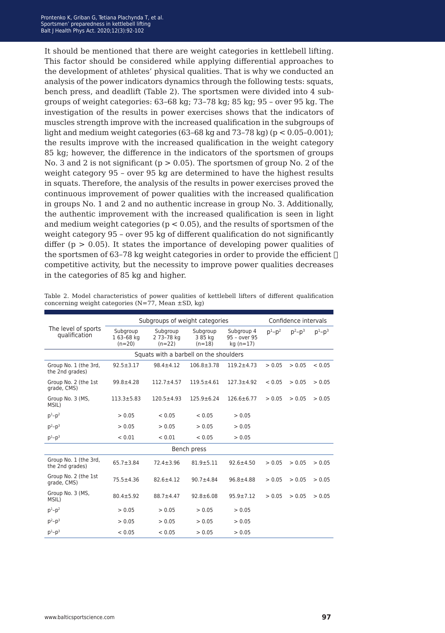It should be mentioned that there are weight categories in kettlebell lifting. This factor should be considered while applying differential approaches to the development of athletes' physical qualities. That is why we conducted an analysis of the power indicators dynamics through the following tests: squats, bench press, and deadlift (Table 2). The sportsmen were divided into 4 subgroups of weight categories: 63–68 kg; 73–78 kg; 85 kg; 95 – over 95 kg. The investigation of the results in power exercises shows that the indicators of muscles strength improve with the increased qualification in the subgroups of light and medium weight categories  $(63-68 \text{ kg and } 73-78 \text{ kg})$  ( $p < 0.05-0.001$ ); the results improve with the increased qualification in the weight category 85 kg; however, the difference in the indicators of the sportsmen of groups No. 3 and 2 is not significant ( $p > 0.05$ ). The sportsmen of group No. 2 of the weight category 95 – over 95 kg are determined to have the highest results in squats. Therefore, the analysis of the results in power exercises proved the continuous improvement of power qualities with the increased qualification in groups No. 1 and 2 and no authentic increase in group No. 3. Additionally, the authentic improvement with the increased qualification is seen in light and medium weight categories ( $p < 0.05$ ), and the results of sportsmen of the weight category 95 – over 95 kg of different qualification do not significantly differ ( $p > 0.05$ ). It states the importance of developing power qualities of the sportsmen of 63-78 kg weight categories in order to provide the efficient  $\Box$ competitive activity, but the necessity to improve power qualities decreases in the categories of 85 kg and higher.

|                                          | Subgroups of weight categories    |                                        |                                 |                                         |           | Confidence intervals |               |
|------------------------------------------|-----------------------------------|----------------------------------------|---------------------------------|-----------------------------------------|-----------|----------------------|---------------|
| The level of sports<br>qualification     | Subgroup<br>163-68 kg<br>$(n=20)$ | Subgroup<br>2 73-78 kg<br>$(n=22)$     | Subgroup<br>3 85 kg<br>$(n=18)$ | Subgroup 4<br>95 - over 95<br>kg (n=17) | $D^1-D^2$ | $p^2 - p^3$          | $p^{1}-p^{3}$ |
|                                          |                                   | Squats with a barbell on the shoulders |                                 |                                         |           |                      |               |
| Group No. 1 (the 3rd.<br>the 2nd grades) | $92.5 \pm 3.17$                   | $98.4 \pm 4.12$                        | $106.8 \pm 3.78$                | $119.2 + 4.73$                          | > 0.05    | > 0.05               | < 0.05        |
| Group No. 2 (the 1st<br>grade, CMS)      | $99.8 \pm 4.28$                   | $112.7 + 4.57$                         | $119.5 + 4.61$                  | $127.3 + 4.92$                          | < 0.05    | > 0.05               | > 0.05        |
| Group No. 3 (MS,<br>MSIL)                | $113.3 \pm 5.83$                  | $120.5 + 4.93$                         | $125.9 \pm 6.24$                | $126.6 \pm 6.77$                        | > 0.05    | > 0.05               | > 0.05        |
| $p^1-p^2$                                | > 0.05                            | < 0.05                                 | < 0.05                          | > 0.05                                  |           |                      |               |
| $p^2-p^3$                                | > 0.05                            | > 0.05                                 | > 0.05                          | > 0.05                                  |           |                      |               |
| $p^1-p^3$                                | < 0.01                            | < 0.01                                 | < 0.05                          | > 0.05                                  |           |                      |               |
|                                          |                                   |                                        | Bench press                     |                                         |           |                      |               |
| Group No. 1 (the 3rd,<br>the 2nd grades) | $65.7 \pm 3.84$                   | $72.4 \pm 3.96$                        | $81.9 + 5.11$                   | $92.6 + 4.50$                           | > 0.05    | > 0.05               | > 0.05        |
| Group No. 2 (the 1st<br>grade, CMS)      | $75.5 \pm 4.36$                   | $82.6 \pm 4.12$                        | $90.7 + 4.84$                   | $96.8 + 4.88$                           | > 0.05    | > 0.05               | > 0.05        |
| Group No. 3 (MS,<br>MSIL)                | $80.4 \pm 5.92$                   | $88.7 + 4.47$                          | $92.8 \pm 6.08$                 | $95.9 \pm 7.12$                         | > 0.05    | > 0.05               | > 0.05        |
| $p^1-p^2$                                | > 0.05                            | > 0.05                                 | > 0.05                          | > 0.05                                  |           |                      |               |
| $p^2-p^3$                                | > 0.05                            | > 0.05                                 | > 0.05                          | > 0.05                                  |           |                      |               |
| $p^1-p^3$                                | < 0.05                            | < 0.05                                 | > 0.05                          | > 0.05                                  |           |                      |               |

Table 2. Model characteristics of power qualities of kettlebell lifters of different qualification concerning weight categories  $(N=77,$  Mean  $\pm SD$ , kg)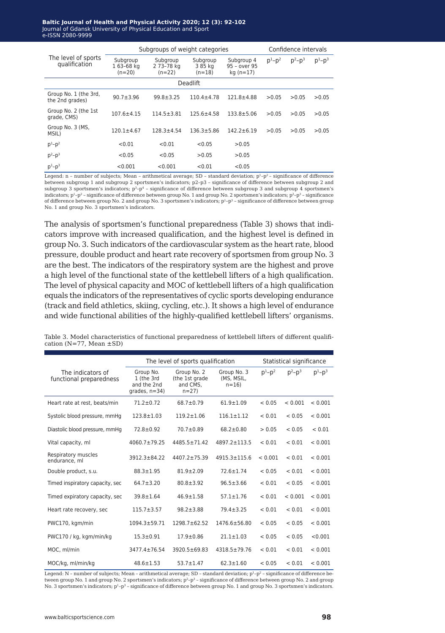#### **Baltic Journal of Health and Physical Activity 2014; 1(1): 1-4 Baltic Journal of Health and Physical Activity 2020; 12 (3): 92-102** Journal of Gdansk University of Physical Education and Sport Journal of Gdansk University of Physical Education and Sport e-ISSN 2080-9999 e-ISSN 2080-9999

|                                          | Subgroups of weight categories    |                                    |                                 |                                           |                 | Confidence intervals |               |  |
|------------------------------------------|-----------------------------------|------------------------------------|---------------------------------|-------------------------------------------|-----------------|----------------------|---------------|--|
| The level of sports<br>qualification     | Subgroup<br>163-68 kg<br>$(n=20)$ | Subgroup<br>2 73-78 kg<br>$(n=22)$ | Subgroup<br>3 85 kg<br>$(n=18)$ | Subgroup 4<br>95 - over 95<br>$kq (n=17)$ | $p^{1} - p^{2}$ | $p^2-p^3$            | $p^{1}-p^{3}$ |  |
|                                          | Deadlift                          |                                    |                                 |                                           |                 |                      |               |  |
| Group No. 1 (the 3rd,<br>the 2nd grades) | $90.7 + 3.96$                     | $99.8 \pm 3.25$                    | $110.4 + 4.78$                  | $121.8 + 4.88$                            | >0.05           | >0.05                | >0.05         |  |
| Group No. 2 (the 1st<br>grade, CMS)      | $107.6 \pm 4.15$                  | $114.5 \pm 3.81$                   | $125.6 \pm 4.58$                | $133.8 \pm 5.06$                          | >0.05           | >0.05                | >0.05         |  |
| Group No. 3 (MS,<br>MSIL)                | $120.1 + 4.67$                    | $128.3 + 4.54$                     | $136.3 \pm 5.86$                | $142.2 \pm 6.19$                          | >0.05           | >0.05                | >0.05         |  |
| $p^{1}-p^{2}$                            | < 0.01                            | < 0.01                             | < 0.05                          | >0.05                                     |                 |                      |               |  |
| $p^2-p^3$                                | < 0.05                            | < 0.05                             | >0.05                           | >0.05                                     |                 |                      |               |  |
| $p^1-p^3$                                | < 0.001                           | < 0.001                            | < 0.01                          | < 0.05                                    |                 |                      |               |  |

Legend: n - number of subjects; Mean - arithmetical average; SD - standard deviation;  $p^1-p^2$  - significance of difference between subgroup 1 and subgroup 2 sportsmen's indicators; р2–р3 – significance of difference between subgroup 2 and subgroup 3 sportsmen's indicators;  $p^3-p^4$  - significance of difference between subgroup 3 and subgroup 4 sportsmen's indicators;  $p^1-p^2$  – significance of difference between group No. 1 and group No. 2 sportsmen's indicators;  $p^2-p^3$  – significance of difference between group No. 2 and group No. 3 sportsmen's indicators;  $p^1-p^3$  - significance of difference between group No. 1 and group No. 3 sportsmen's indicators.

The analysis of sportsmen's functional preparedness (Table 3) shows that indicators improve with increased qualification, and the highest level is defined in group No. 3. Such indicators of the cardiovascular system as the heart rate, blood pressure, double product and heart rate recovery of sportsmen from group No. 3 are the best. The indicators of the respiratory system are the highest and prove a high level of the functional state of the kettlebell lifters of a high qualification. The level of physical capacity and MOC of kettlebell lifters of a high qualification equals the indicators of the representatives of cyclic sports developing endurance (track and field athletics, skiing, cycling, etc.). It shows a high level of endurance and wide functional abilities of the highly-qualified kettlebell lifters' organisms.

|                                              |                                                            | The level of sports qualification                   | Statistical significance              |             |           |           |
|----------------------------------------------|------------------------------------------------------------|-----------------------------------------------------|---------------------------------------|-------------|-----------|-----------|
| The indicators of<br>functional preparedness | Group No.<br>1 (the 3rd<br>and the 2nd<br>grades, $n=34$ ) | Group No. 2<br>(the 1st grade<br>and CMS,<br>$n=27$ | Group No. 3<br>(MS, MSIL,<br>$n = 16$ | $D^1 - D^2$ | $p^2-p^3$ | $p^1-p^3$ |
| Heart rate at rest, beats/min                | $71.2 \pm 0.72$                                            | $68.7 \pm 0.79$                                     | $61.9 \pm 1.09$                       | < 0.05      | < 0.001   | < 0.001   |
| Systolic blood pressure, mmHq                | $123.8 \pm 1.03$                                           | $119.2 \pm 1.06$                                    | $116.1 \pm 1.12$                      | < 0.01      | < 0.05    | < 0.001   |
| Diastolic blood pressure, mmHq               | $72.8 \pm 0.92$                                            | $70.7 \pm 0.89$                                     | $68.2 \pm 0.80$                       | > 0.05      | < 0.05    | < 0.01    |
| Vital capacity, ml                           | 4060.7±79.25                                               | $4485.5 \pm 71.42$                                  | 4897.2±113.5                          | < 0.01      | < 0.01    | < 0.001   |
| Respiratory muscles<br>endurance, ml         | $3912.3 \pm 84.22$                                         | $4407.2 \pm 75.39$                                  | $4915.3 \pm 115.6$                    | < 0.001     | < 0.01    | < 0.001   |
| Double product, s.u.                         | $88.3 \pm 1.95$                                            | $81.9 \pm 2.09$                                     | $72.6 \pm 1.74$                       | < 0.05      | < 0.01    | < 0.001   |
| Timed inspiratory capacity, sec              | $64.7 \pm 3.20$                                            | $80.8 \pm 3.92$                                     | $96.5 \pm 3.66$                       | < 0.01      | < 0.05    | < 0.001   |
| Timed expiratory capacity, sec               | $39.8 \pm 1.64$                                            | $46.9 \pm 1.58$                                     | $57.1 \pm 1.76$                       | < 0.01      | < 0.001   | < 0.001   |
| Heart rate recovery, sec                     | $115.7 \pm 3.57$                                           | $98.2 \pm 3.88$                                     | $79.4 \pm 3.25$                       | < 0.01      | < 0.01    | < 0.001   |
| PWC170, kgm/min                              | $1094.3 \pm 59.71$                                         | 1298.7±62.52                                        | $1476.6 \pm 56.80$                    | < 0.05      | < 0.05    | < 0.001   |
| PWC170 / kg, kgm/min/kg                      | $15.3 \pm 0.91$                                            | $17.9 \pm 0.86$                                     | $21.1 \pm 1.03$                       | < 0.05      | < 0.05    | < 0.001   |
| MOC, ml/min                                  | 3477.4±76.54                                               | $3920.5 \pm 69.83$                                  | $4318.5 \pm 79.76$                    | < 0.01      | < 0.01    | < 0.001   |
| MOC/kg, ml/min/kg                            | $48.6 \pm 1.53$                                            | $53.7 \pm 1.47$                                     | $62.3 \pm 1.60$                       | < 0.05      | < 0.01    | < 0.001   |

Table 3. Model characteristics of functional preparedness of kettlebell lifters of different qualification (N=77, Mean ±SD)

Legend: N – number of subjects; Mean – arithmetical average; SD – standard deviation;  $p^1-p^2$  – significance of difference between group No. 1 and group No. 2 sportsmen's indicators;  $p^2-p^3$  - significance of difference between group No. 2 and group No. 3 sportsmen's indicators;  $p^1-p^3$  - significance of difference between group No. 1 and group No. 3 sportsmen's indicators.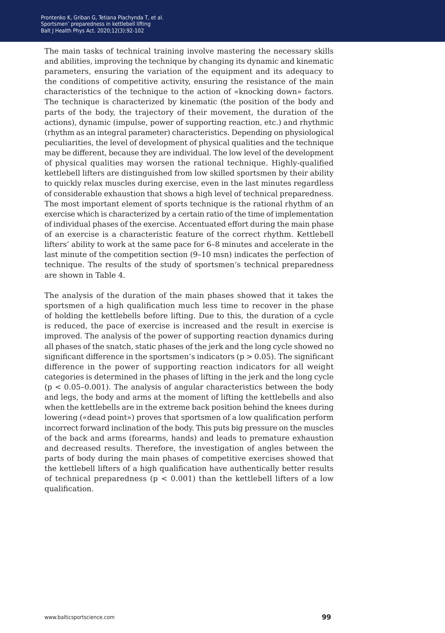The main tasks of technical training involve mastering the necessary skills and abilities, improving the technique by changing its dynamic and kinematic parameters, ensuring the variation of the equipment and its adequacy to the conditions of competitive activity, ensuring the resistance of the main characteristics of the technique to the action of «knocking down» factors. The technique is characterized by kinematic (the position of the body and parts of the body, the trajectory of their movement, the duration of the actions), dynamic (impulse, power of supporting reaction, etc.) and rhythmic (rhythm as an integral parameter) characteristics. Depending on physiological peculiarities, the level of development of physical qualities and the technique may be different, because they are individual. The low level of the development of physical qualities may worsen the rational technique. Highly-qualified kettlebell lifters are distinguished from low skilled sportsmen by their ability to quickly relax muscles during exercise, even in the last minutes regardless of considerable exhaustion that shows a high level of technical preparedness. The most important element of sports technique is the rational rhythm of an exercise which is characterized by a certain ratio of the time of implementation of individual phases of the exercise. Accentuated effort during the main phase of an exercise is a characteristic feature of the correct rhythm. Kettlebell lifters' ability to work at the same pace for 6–8 minutes and accelerate in the last minute of the competition section (9–10 msn) indicates the perfection of technique. The results of the study of sportsmen's technical preparedness are shown in Table 4.

The analysis of the duration of the main phases showed that it takes the sportsmen of a high qualification much less time to recover in the phase of holding the kettlebells before lifting. Due to this, the duration of a cycle is reduced, the pace of exercise is increased and the result in exercise is improved. The analysis of the power of supporting reaction dynamics during all phases of the snatch, static phases of the jerk and the long cycle showed no significant difference in the sportsmen's indicators ( $p > 0.05$ ). The significant difference in the power of supporting reaction indicators for all weight categories is determined in the phases of lifting in the jerk and the long cycle  $(p < 0.05-0.001)$ . The analysis of angular characteristics between the body and legs, the body and arms at the moment of lifting the kettlebells and also when the kettlebells are in the extreme back position behind the knees during lowering («dead point») proves that sportsmen of a low qualification perform incorrect forward inclination of the body. This puts big pressure on the muscles of the back and arms (forearms, hands) and leads to premature exhaustion and decreased results. Therefore, the investigation of angles between the parts of body during the main phases of competitive exercises showed that the kettlebell lifters of a high qualification have authentically better results of technical preparedness ( $p < 0.001$ ) than the kettlebell lifters of a low qualification.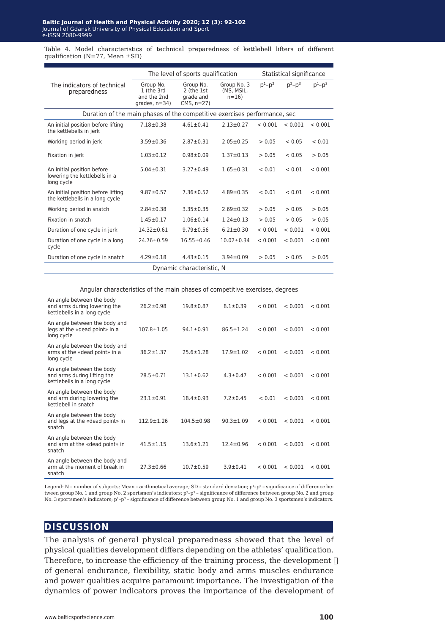Table 4. Model characteristics of technical preparedness of kettlebell lifters of different qualification (N=77, Mean ±SD)

|                                                                           |                                                           | The level of sports qualification                   |                                       |           | Statistical significance |           |  |
|---------------------------------------------------------------------------|-----------------------------------------------------------|-----------------------------------------------------|---------------------------------------|-----------|--------------------------|-----------|--|
| The indicators of technical<br>preparedness                               | Group No.<br>1 (the 3rd<br>and the 2nd<br>$qrades, n=34)$ | Group No.<br>2 (the 1st<br>grade and<br>$CMS. n=27$ | Group No. 3<br>(MS, MSIL,<br>$n = 16$ | $p^1-p^2$ | $p^2 - p^3$              | $p^1-p^3$ |  |
| Duration of the main phases of the competitive exercises performance, sec |                                                           |                                                     |                                       |           |                          |           |  |
| An initial position before lifting<br>the kettlebells in jerk             | $7.18 + 0.38$                                             | $4.61 \pm 0.41$                                     | $2.13 \pm 0.27$                       | < 0.001   | < 0.001                  | < 0.001   |  |
| Working period in jerk                                                    | $3.59 \pm 0.36$                                           | $2.87 \pm 0.31$                                     | $2.05 \pm 0.25$                       | > 0.05    | < 0.05                   | < 0.01    |  |
| Fixation in jerk                                                          | $1.03 \pm 0.12$                                           | $0.98 + 0.09$                                       | $1.37 + 0.13$                         | > 0.05    | < 0.05                   | > 0.05    |  |
| An initial position before<br>lowering the kettlebells in a<br>long cycle | $5.04 \pm 0.31$                                           | $3.27 \pm 0.49$                                     | $1.65 \pm 0.31$                       | < 0.01    | < 0.01                   | < 0.001   |  |
| An initial position before lifting<br>the kettlebells in a long cycle     | $9.87 \pm 0.57$                                           | $7.36 \pm 0.52$                                     | $4.89 \pm 0.35$                       | < 0.01    | < 0.01                   | < 0.001   |  |
| Working period in snatch                                                  | $2.84 \pm 0.38$                                           | $3.35 \pm 0.35$                                     | $2.69 \pm 0.32$                       | > 0.05    | > 0.05                   | > 0.05    |  |
| Fixation in snatch                                                        | $1.45 \pm 0.17$                                           | $1.06 \pm 0.14$                                     | $1.24 \pm 0.13$                       | > 0.05    | > 0.05                   | > 0.05    |  |
| Duration of one cycle in jerk                                             | $14.32 \pm 0.61$                                          | $9.79 \pm 0.56$                                     | $6.21 \pm 0.30$                       | < 0.001   | < 0.001                  | < 0.001   |  |
| Duration of one cycle in a long<br>cycle                                  | $24.76 \pm 0.59$                                          | $16.55 \pm 0.46$                                    | $10.02 \pm 0.34$                      | < 0.001   | < 0.001                  | < 0.001   |  |
| Duration of one cycle in snatch                                           | $4.29 \pm 0.18$                                           | $4.43 \pm 0.15$                                     | $3.94 \pm 0.09$                       | > 0.05    | > 0.05                   | > 0.05    |  |
| Dynamic characteristic, N                                                 |                                                           |                                                     |                                       |           |                          |           |  |

Angular characteristics of the main phases of competitive exercises, degrees

| An angle between the body<br>and arms during lowering the<br>kettlebells in a long cycle | $26.2 \pm 0.98$  | $19.8 \pm 0.87$  | $8.1 \pm 0.39$  | < 0.001 | < 0.001 | < 0.001 |
|------------------------------------------------------------------------------------------|------------------|------------------|-----------------|---------|---------|---------|
| An angle between the body and<br>legs at the «dead point» in a<br>long cycle             | $107.8 \pm 1.05$ | $94.1 \pm 0.91$  | $86.5 \pm 1.24$ | < 0.001 | < 0.001 | < 0.001 |
| An angle between the body and<br>arms at the «dead point» in a<br>long cycle             | $36.2 \pm 1.37$  | $25.6 \pm 1.28$  | $17.9 \pm 1.02$ | < 0.001 | < 0.001 | < 0.001 |
| An angle between the body<br>and arms during lifting the<br>kettlebells in a long cycle  | $28.5 \pm 0.71$  | $13.1 \pm 0.62$  | $4.3 \pm 0.47$  | < 0.001 | < 0.001 | < 0.001 |
| An angle between the body<br>and arm during lowering the<br>kettlebell in snatch         | $23.1 \pm 0.91$  | $18.4 \pm 0.93$  | $7.2 \pm 0.45$  | < 0.01  | < 0.001 | < 0.001 |
| An angle between the body<br>and legs at the «dead point» in<br>snatch                   | $112.9 \pm 1.26$ | $104.5 \pm 0.98$ | $90.3 \pm 1.09$ | < 0.001 | < 0.001 | < 0.001 |
| An angle between the body<br>and arm at the «dead point» in<br>snatch                    | $41.5 \pm 1.15$  | $13.6 \pm 1.21$  | $12.4 + 0.96$   | < 0.001 | < 0.001 | < 0.001 |
| An angle between the body and<br>arm at the moment of break in<br>snatch                 | $27.3 \pm 0.66$  | $10.7 + 0.59$    | $3.9 \pm 0.41$  | < 0.001 | < 0.001 | < 0.001 |

Legend: N – number of subjects; Mean – arithmetical average; SD – standard deviation;  $p^1-p^2$  – significance of difference between group No. 1 and group No. 2 sportsmen's indicators;  $p^2-p^3$  - significance of difference between group No. 2 and group No. 3 sportsmen's indicators; p<sup>1</sup>-p<sup>3</sup> - significance of difference between group No. 1 and group No. 3 sportsmen's indicators.

#### **discussion**

The analysis of general physical preparedness showed that the level of physical qualities development differs depending on the athletes' qualification. Therefore, to increase the efficiency of the training process, the development  $\Box$ of general endurance, flexibility, static body and arms muscles endurance and power qualities acquire paramount importance. The investigation of the dynamics of power indicators proves the importance of the development of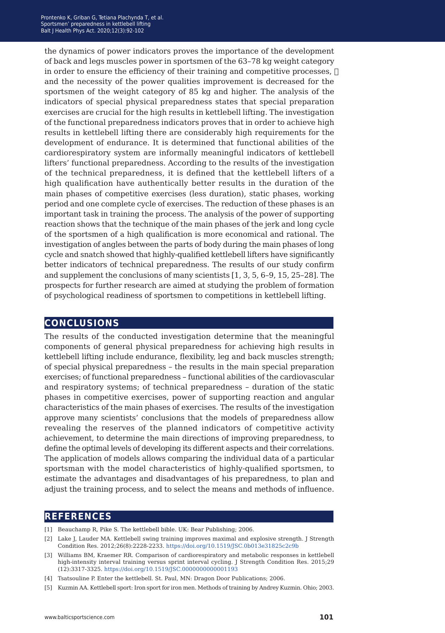the dynamics of power indicators proves the importance of the development of back and legs muscles power in sportsmen of the 63–78 kg weight category in order to ensure the efficiency of their training and competitive processes,  $\Box$ and the necessity of the power qualities improvement is decreased for the sportsmen of the weight category of 85 kg and higher. The analysis of the indicators of special physical preparedness states that special preparation exercises are crucial for the high results in kettlebell lifting. The investigation of the functional preparedness indicators proves that in order to achieve high results in kettlebell lifting there are considerably high requirements for the development of endurance. It is determined that functional abilities of the cardiorespiratory system are informally meaningful indicators of kettlebell lifters' functional preparedness. According to the results of the investigation of the technical preparedness, it is defined that the kettlebell lifters of a high qualification have authentically better results in the duration of the main phases of competitive exercises (less duration), static phases, working period and one complete cycle of exercises. The reduction of these phases is an important task in training the process. The analysis of the power of supporting reaction shows that the technique of the main phases of the jerk and long cycle of the sportsmen of a high qualification is more economical and rational. The investigation of angles between the parts of body during the main phases of long cycle and snatch showed that highly-qualified kettlebell lifters have significantly better indicators of technical preparedness. The results of our study confirm and supplement the conclusions of many scientists [1, 3, 5, 6–9, 15, 25–28]. The prospects for further research are aimed at studying the problem of formation of psychological readiness of sportsmen to competitions in kettlebell lifting.

#### **conclusions**

The results of the conducted investigation determine that the meaningful components of general physical preparedness for achieving high results in kettlebell lifting include endurance, flexibility, leg and back muscles strength; of special physical preparedness – the results in the main special preparation exercises; of functional preparedness – functional abilities of the cardiovascular and respiratory systems; of technical preparedness – duration of the static phases in competitive exercises, power of supporting reaction and angular characteristics of the main phases of exercises. The results of the investigation approve many scientists' conclusions that the models of preparedness allow revealing the reserves of the planned indicators of competitive activity achievement, to determine the main directions of improving preparedness, to define the optimal levels of developing its different aspects and their correlations. The application of models allows comparing the individual data of a particular sportsman with the model characteristics of highly-qualified sportsmen, to estimate the advantages and disadvantages of his preparedness, to plan and adjust the training process, and to select the means and methods of influence.

### **references**

- [1] Beauchamp R, Pike S. The kettlebell bible. UK: Bear Publishing; 2006.
- [2] Lake J, Lauder MA. Kettlebell swing training improves maximal and explosive strength. J Strength Condition Res. 2012;26(8):2228-2233. <https://doi.org/10.1519/JSC.0b013e31825c2c9b>
- [3] Williams BM, Kraemer RR. Comparison of cardiorespiratory and metabolic responses in kettlebell high-intensity interval training versus sprint interval cycling. J Strength Condition Res. 2015;29 (12):3317-3325. <https://doi.org/10.1519/JSC.0000000000001193>
- [4] Tsatsouline P. Enter the kettlebell. St. Paul, MN: Dragon Door Publications; 2006.
- [5] Kuzmin AA. Kettlebell sport: Iron sport for iron men. Methods of training by Andrey Kuzmin. Ohio; 2003.